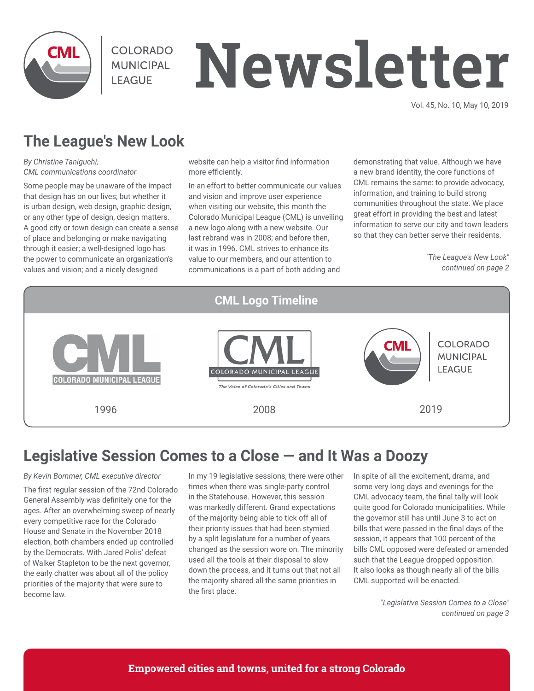

**COLORADO MUNICIPAL LEAGUE** 

# **Newsletter**

Vol. 45, No. 10, May 10, 2019

# **The League's New Look**

*By Christine Taniguchi, CML communications coordinator*

Some people may be unaware of the impact that design has on our lives; but whether it is urban design, web design, graphic design, or any other type of design, design matters. A good city or town design can create a sense of place and belonging or make navigating through it easier; a well-designed logo has the power to communicate an organization's values and vision; and a nicely designed

website can help a visitor find information more efficiently.

In an effort to better communicate our values and vision and improve user experience when visiting our website, this month the Colorado Municipal League (CML) is unveiling a new logo along with a new website. Our last rebrand was in 2008; and before then, it was in 1996. CML strives to enhance its value to our members, and our attention to communications is a part of both adding and

demonstrating that value. Although we have a new brand identity, the core functions of CML remains the same: to provide advocacy, information, and training to build strong communities throughout the state. We place great effort in providing the best and latest information to serve our city and town leaders so that they can better serve their residents.

> *"The League's New Look" continued on page 2*



# **Legislative Session Comes to a Close — and It Was a Doozy**

#### *By Kevin Bommer, CML executive director*

The first regular session of the 72nd Colorado General Assembly was definitely one for the ages. After an overwhelming sweep of nearly every competitive race for the Colorado House and Senate in the November 2018 election, both chambers ended up controlled by the Democrats. With Jared Polis' defeat of Walker Stapleton to be the next governor, the early chatter was about all of the policy priorities of the majority that were sure to become law.

In my 19 legislative sessions, there were other times when there was single-party control in the Statehouse. However, this session was markedly different. Grand expectations of the majority being able to tick off all of their priority issues that had been stymied by a split legislature for a number of years changed as the session wore on. The minority used all the tools at their disposal to slow down the process, and it turns out that not all the majority shared all the same priorities in the first place.

In spite of all the excitement, drama, and some very long days and evenings for the CML advocacy team, the final tally will look quite good for Colorado municipalities. While the governor still has until June 3 to act on bills that were passed in the final days of the session, it appears that 100 percent of the bills CML opposed were defeated or amended such that the League dropped opposition. It also looks as though nearly all of the bills CML supported will be enacted.

> *"Legislative Session Comes to a Close" continued on page 3*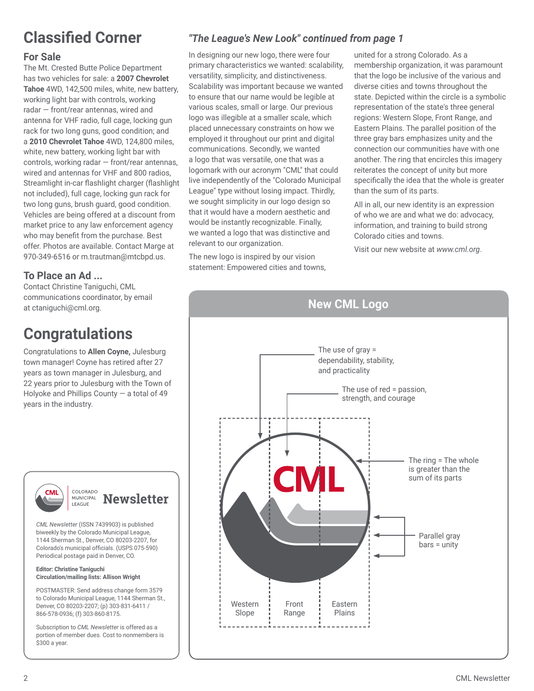# **Classified Corner**

#### **For Sale**

The Mt. Crested Butte Police Department has two vehicles for sale: a **2007 Chevrolet Tahoe** 4WD, 142,500 miles, white, new battery, working light bar with controls, working radar — front/rear antennas, wired and antenna for VHF radio, full cage, locking gun rack for two long guns, good condition; and a **2010 Chevrolet Tahoe** 4WD, 124,800 miles, white, new battery, working light bar with controls, working radar — front/rear antennas, wired and antennas for VHF and 800 radios, Streamlight in-car flashlight charger (flashlight not included), full cage, locking gun rack for two long guns, brush guard, good condition. Vehicles are being offered at a discount from market price to any law enforcement agency who may benefit from the purchase. Best offer. Photos are available. Contact Marge at 970-349-6516 or m.trautman@mtcbpd.us.

### **To Place an Ad ...**

Contact Christine Taniguchi, CML communications coordinator, by email at ctaniguchi@cml.org.

# **Congratulations**

Congratulations to **Allen Coyne,** Julesburg town manager! Coyne has retired after 27 years as town manager in Julesburg, and 22 years prior to Julesburg with the Town of Holyoke and Phillips County — a total of 49 years in the industry.



*CML Newsletter* (ISSN 7439903) is published biweekly by the Colorado Municipal League, 1144 Sherman St., Denver, CO 80203-2207, for Colorado's municipal officials. (USPS 075-590) Periodical postage paid in Denver, CO.

#### **Editor: Christine Taniguchi Circulation/mailing lists: Allison Wright**

POSTMASTER: Send address change form 3579 to Colorado Municipal League, 1144 Sherman St., Denver, CO 80203-2207; (p) 303-831-6411 / 866-578-0936; (f) 303-860-8175.

Subscription to *CML Newsletter* is offered as a portion of member dues. Cost to nonmembers is \$300 a year.

## *"The League's New Look" continued from page 1*

In designing our new logo, there were four primary characteristics we wanted: scalability, versatility, simplicity, and distinctiveness. Scalability was important because we wanted to ensure that our name would be legible at various scales, small or large. Our previous logo was illegible at a smaller scale, which placed unnecessary constraints on how we employed it throughout our print and digital communications. Secondly, we wanted a logo that was versatile, one that was a logomark with our acronym "CML" that could live independently of the "Colorado Municipal League" type without losing impact. Thirdly, we sought simplicity in our logo design so that it would have a modern aesthetic and would be instantly recognizable. Finally, we wanted a logo that was distinctive and relevant to our organization.

The new logo is inspired by our vision statement: Empowered cities and towns, united for a strong Colorado. As a membership organization, it was paramount that the logo be inclusive of the various and diverse cities and towns throughout the state. Depicted within the circle is a symbolic representation of the state's three general regions: Western Slope, Front Range, and Eastern Plains. The parallel position of the three gray bars emphasizes unity and the connection our communities have with one another. The ring that encircles this imagery reiterates the concept of unity but more specifically the idea that the whole is greater than the sum of its parts.

All in all, our new identity is an expression of who we are and what we do: advocacy, information, and training to build strong Colorado cities and towns.

Visit our new website at *www.cml.org*.

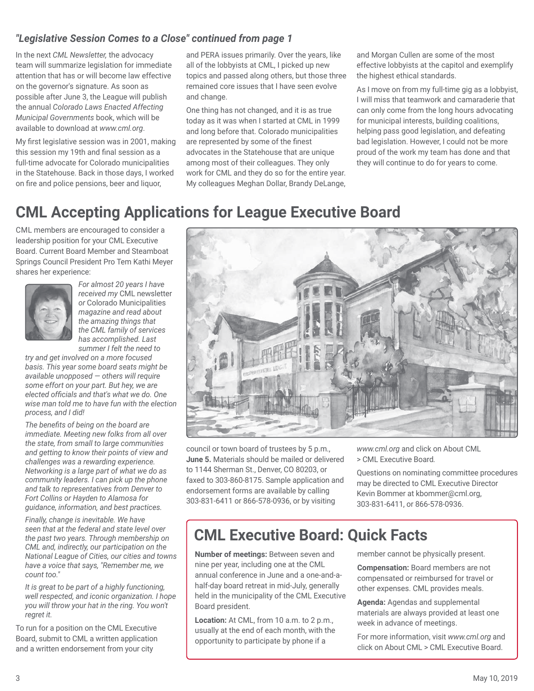#### *"Legislative Session Comes to a Close" continued from page 1*

In the next *CML Newsletter,* the advocacy team will summarize legislation for immediate attention that has or will become law effective on the governor's signature. As soon as possible after June 3, the League will publish the annual *Colorado Laws Enacted Affecting Municipal Governments* book, which will be available to download at *www.cml.org*.

My first legislative session was in 2001, making this session my 19th and final session as a full-time advocate for Colorado municipalities in the Statehouse. Back in those days, I worked on fire and police pensions, beer and liquor,

and PERA issues primarily. Over the years, like all of the lobbyists at CML, I picked up new topics and passed along others, but those three remained core issues that I have seen evolve and change.

One thing has not changed, and it is as true today as it was when I started at CML in 1999 and long before that. Colorado municipalities are represented by some of the finest advocates in the Statehouse that are unique among most of their colleagues. They only work for CML and they do so for the entire year. My colleagues Meghan Dollar, Brandy DeLange, and Morgan Cullen are some of the most effective lobbyists at the capitol and exemplify the highest ethical standards.

As I move on from my full-time gig as a lobbyist, I will miss that teamwork and camaraderie that can only come from the long hours advocating for municipal interests, building coalitions, helping pass good legislation, and defeating bad legislation. However, I could not be more proud of the work my team has done and that they will continue to do for years to come.

# **CML Accepting Applications for League Executive Board**

CML members are encouraged to consider a leadership position for your CML Executive Board. Current Board Member and Steamboat Springs Council President Pro Tem Kathi Meyer shares her experience:



*For almost 20 years I have received my* CML newsletter *or* Colorado Municipalities *magazine and read about the amazing things that the CML family of services has accomplished. Last summer I felt the need to* 

*try and get involved on a more focused basis. This year some board seats might be available unopposed — others will require some effort on your part. But hey, we are elected officials and that's what we do. One wise man told me to have fun with the election process, and I did!*

*The benefits of being on the board are immediate. Meeting new folks from all over the state, from small to large communities and getting to know their points of view and challenges was a rewarding experience. Networking is a large part of what we do as community leaders. I can pick up the phone and talk to representatives from Denver to Fort Collins or Hayden to Alamosa for guidance, information, and best practices.*

*Finally, change is inevitable. We have seen that at the federal and state level over the past two years. Through membership on CML and, indirectly, our participation on the National League of Cities, our cities and towns have a voice that says, "Remember me, we count too."*

*It is great to be part of a highly functioning, well respected, and iconic organization. I hope you will throw your hat in the ring. You won't regret it.*

To run for a position on the CML Executive Board, submit to CML a written application and a written endorsement from your city



council or town board of trustees by 5 p.m., **June 5.** Materials should be mailed or delivered to 1144 Sherman St., Denver, CO 80203, or faxed to 303-860-8175. Sample application and endorsement forms are available by calling 303-831-6411 or 866-578-0936, or by visiting

*www.cml.org* and click on About CML > CML Executive Board*.*

Questions on nominating committee procedures may be directed to CML Executive Director Kevin Bommer at kbommer@cml.org, 303-831-6411, or 866-578-0936.

## **CML Executive Board: Quick Facts**

**Number of meetings:** Between seven and nine per year, including one at the CML annual conference in June and a one-and-ahalf-day board retreat in mid-July, generally held in the municipality of the CML Executive Board president.

**Location:** At CML, from 10 a.m. to 2 p.m., usually at the end of each month, with the opportunity to participate by phone if a

member cannot be physically present.

**Compensation:** Board members are not compensated or reimbursed for travel or other expenses. CML provides meals.

**Agenda:** Agendas and supplemental materials are always provided at least one week in advance of meetings.

For more information, visit *www.cml.org* and click on About CML > CML Executive Board.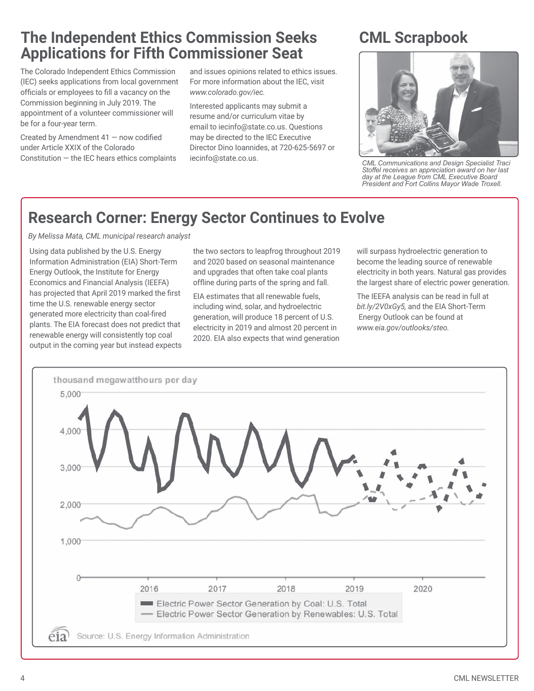## **The Independent Ethics Commission Seeks Applications for Fifth Commissioner Seat**

The Colorado Independent Ethics Commission (IEC) seeks applications from local government officials or employees to fill a vacancy on the Commission beginning in July 2019. The appointment of a volunteer commissioner will be for a four-year term.

Created by Amendment  $41 -$  now codified under Article XXIX of the Colorado Constitution — the IEC hears ethics complaints and issues opinions related to ethics issues. For more information about the IEC, visit *www.colorado.gov/iec.*

Interested applicants may submit a resume and/or curriculum vitae by email to iecinfo@state.co.us. Questions may be directed to the IEC Executive Director Dino Ioannides, at 720-625-5697 or iecinfo@state.co.us.

# **CML Scrapbook**



*CML Communications and Design Specialist Traci Stoffel receives an appreciation award on her last day at the League from CML Executive Board President and Fort Collins Mayor Wade Troxell.*

# **Research Corner: Energy Sector Continues to Evolve**

*By Melissa Mata, CML municipal research analyst*

Using data published by the U.S. Energy Information Administration (EIA) Short-Term Energy Outlook, the Institute for Energy Economics and Financial Analysis (IEEFA) has projected that April 2019 marked the first time the U.S. renewable energy sector generated more electricity than coal-fired plants. The EIA forecast does not predict that renewable energy will consistently top coal output in the coming year but instead expects the two sectors to leapfrog throughout 2019 and 2020 based on seasonal maintenance and upgrades that often take coal plants offline during parts of the spring and fall.

EIA estimates that all renewable fuels, including wind, solar, and hydroelectric generation, will produce 18 percent of U.S. electricity in 2019 and almost 20 percent in 2020. EIA also expects that wind generation will surpass hydroelectric generation to become the leading source of renewable electricity in both years. Natural gas provides the largest share of electric power generation.

The IEEFA analysis can be read in full at *bit.ly/2V0xGy5,* and the EIA Short-Term Energy Outlook can be found at *www.eia.gov/outlooks/steo.*

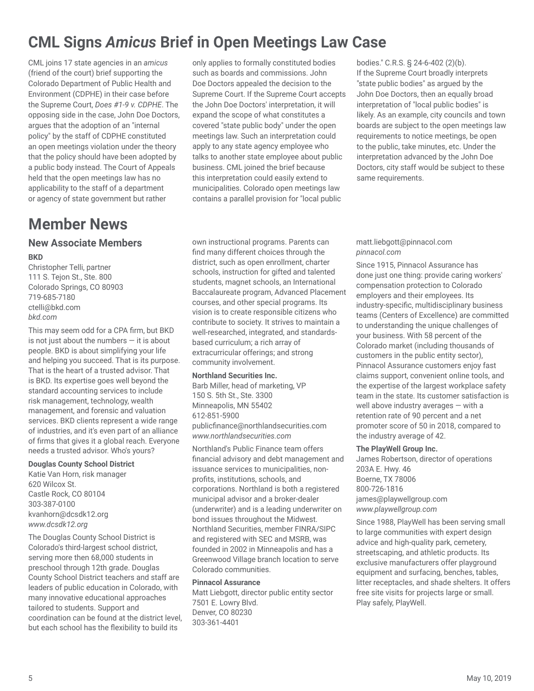# **CML Signs** *Amicus* **Brief in Open Meetings Law Case**

CML joins 17 state agencies in an *amicus* (friend of the court) brief supporting the Colorado Department of Public Health and Environment (CDPHE) in their case before the Supreme Court, *Does #1-9 v. CDPHE*. The opposing side in the case, John Doe Doctors, argues that the adoption of an "internal policy" by the staff of CDPHE constituted an open meetings violation under the theory that the policy should have been adopted by a public body instead. The Court of Appeals held that the open meetings law has no applicability to the staff of a department or agency of state government but rather

## **Member News**

#### **New Associate Members BKD**

Christopher Telli, partner 111 S. Tejon St., Ste. 800 Colorado Springs, CO 80903 719-685-7180 ctelli@bkd.com *bkd.com*

This may seem odd for a CPA firm, but BKD is not just about the numbers  $-$  it is about people. BKD is about simplifying your life and helping you succeed. That is its purpose. That is the heart of a trusted advisor. That is BKD. Its expertise goes well beyond the standard accounting services to include risk management, technology, wealth management, and forensic and valuation services. BKD clients represent a wide range of industries, and it's even part of an alliance of firms that gives it a global reach. Everyone needs a trusted advisor. Who's yours?

#### **Douglas County School District**

Katie Van Horn, risk manager 620 Wilcox St. Castle Rock, CO 80104 303-387-0100 kvanhorn@dcsdk12.org *www.dcsdk12.org*

The Douglas County School District is Colorado's third-largest school district, serving more then 68,000 students in preschool through 12th grade. Douglas County School District teachers and staff are leaders of public education in Colorado, with many innovative educational approaches tailored to students. Support and coordination can be found at the district level, but each school has the flexibility to build its

only applies to formally constituted bodies such as boards and commissions. John Doe Doctors appealed the decision to the Supreme Court. If the Supreme Court accepts the John Doe Doctors' interpretation, it will expand the scope of what constitutes a covered "state public body" under the open meetings law. Such an interpretation could apply to any state agency employee who talks to another state employee about public business. CML joined the brief because this interpretation could easily extend to municipalities. Colorado open meetings law contains a parallel provision for "local public

own instructional programs. Parents can find many different choices through the district, such as open enrollment, charter schools, instruction for gifted and talented students, magnet schools, an International Baccalaureate program, Advanced Placement courses, and other special programs. Its vision is to create responsible citizens who contribute to society. It strives to maintain a well-researched, integrated, and standardsbased curriculum; a rich array of extracurricular offerings; and strong community involvement.

#### **Northland Securities Inc.**

Barb Miller, head of marketing, VP 150 S. 5th St., Ste. 3300 Minneapolis, MN 55402 612-851-5900 publicfinance@northlandsecurities.com *www.northlandsecurities.com*

Northland's Public Finance team offers financial advisory and debt management and issuance services to municipalities, nonprofits, institutions, schools, and corporations. Northland is both a registered municipal advisor and a broker-dealer (underwriter) and is a leading underwriter on bond issues throughout the Midwest. Northland Securities, member FINRA/SIPC and registered with SEC and MSRB, was founded in 2002 in Minneapolis and has a Greenwood Village branch location to serve Colorado communities.

#### **Pinnacol Assurance**

Matt Liebgott, director public entity sector 7501 E. Lowry Blvd. Denver, CO 80230 303-361-4401

bodies." C.R.S. § 24-6-402 (2)(b). If the Supreme Court broadly interprets "state public bodies" as argued by the John Doe Doctors, then an equally broad interpretation of "local public bodies" is likely. As an example, city councils and town boards are subject to the open meetings law requirements to notice meetings, be open to the public, take minutes, etc. Under the interpretation advanced by the John Doe Doctors, city staff would be subject to these same requirements.

matt.liebgott@pinnacol.com *pinnacol.com*

Since 1915, Pinnacol Assurance has done just one thing: provide caring workers' compensation protection to Colorado employers and their employees. Its industry-specific, multidisciplinary business teams (Centers of Excellence) are committed to understanding the unique challenges of your business. With 58 percent of the Colorado market (including thousands of customers in the public entity sector), Pinnacol Assurance customers enjoy fast claims support, convenient online tools, and the expertise of the largest workplace safety team in the state. Its customer satisfaction is well above industry averages — with a retention rate of 90 percent and a net promoter score of 50 in 2018, compared to the industry average of 42.

#### **The PlayWell Group Inc.**

James Robertson, director of operations 203A E. Hwy. 46 Boerne, TX 78006 800-726-1816 james@playwellgroup.com *www.playwellgroup.com*

Since 1988, PlayWell has been serving small to large communities with expert design advice and high-quality park, cemetery, streetscaping, and athletic products. Its exclusive manufacturers offer playground equipment and surfacing, benches, tables, litter receptacles, and shade shelters. It offers free site visits for projects large or small. Play safely, PlayWell.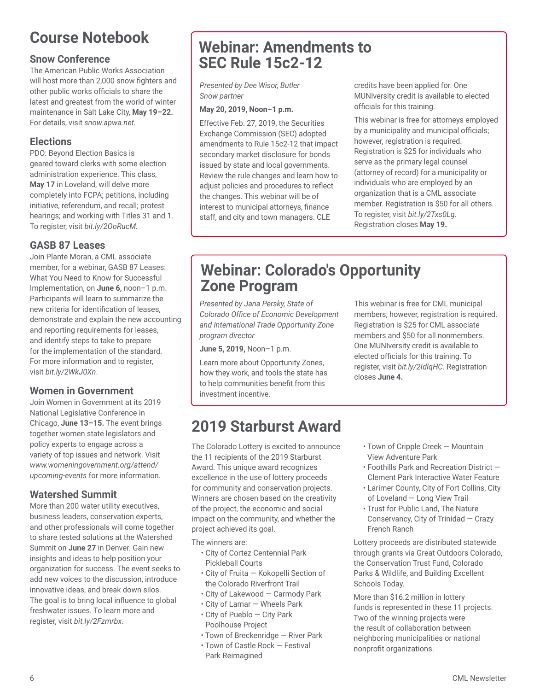# **Course Notebook**

#### **Snow Conference**

The American Public Works Association will host more than 2,000 snow fighters and other public works officials to share the latest and greatest from the world of winter maintenance in Salt Lake City, **May 19–22.** For details, visit *snow.apwa.net.*

#### **Elections**

PDO: Beyond Election Basics is geared toward clerks with some election administration experience. This class, **May 17** in Loveland, will delve more completely into FCPA; petitions, including initiative, referendum, and recall; protest hearings; and working with Titles 31 and 1. To register, visit *bit.ly/2OoRucM.*

### **GASB 87 Leases**

Join Plante Moran, a CML associate member, for a webinar, GASB 87 Leases: What You Need to Know for Successful Implementation, on **June 6,** noon–1 p.m. Participants will learn to summarize the new criteria for identification of leases, demonstrate and explain the new accounting and reporting requirements for leases, and identify steps to take to prepare for the implementation of the standard. For more information and to register, visit *bit.ly/2WkJ0Xn*.

#### **Women in Government**

Join Women in Government at its 2019 National Legislative Conference in Chicago, **June 13–15.** The event brings together women state legislators and policy experts to engage across a variety of top issues and network. Visit *www.womeningovernment.org/attend/ upcoming-events* for more information.

### **Watershed Summit**

More than 200 water utility executives, business leaders, conservation experts, and other professionals will come together to share tested solutions at the Watershed Summit on **June 27** in Denver. Gain new insights and ideas to help position your organization for success. The event seeks to add new voices to the discussion, introduce innovative ideas, and break down silos. The goal is to bring local influence to global freshwater issues. To learn more and register, visit *bit.ly/2Fzmrbx.*

## **Webinar: Amendments to SEC Rule 15c2-12**

*Presented by Dee Wisor, Butler Snow partner*

#### **May 20, 2019, Noon–1 p.m.**

Effective Feb. 27, 2019, the Securities Exchange Commission (SEC) adopted amendments to Rule 15c2-12 that impact secondary market disclosure for bonds issued by state and local governments. Review the rule changes and learn how to adjust policies and procedures to reflect the changes. This webinar will be of interest to municipal attorneys, finance staff, and city and town managers. CLE

credits have been applied for. One MUNIversity credit is available to elected officials for this training.

This webinar is free for attorneys employed by a municipality and municipal officials; however, registration is required. Registration is \$25 for individuals who serve as the primary legal counsel (attorney of record) for a municipality or individuals who are employed by an organization that is a CML associate member. Registration is \$50 for all others. To register, visit *bit.ly/2Txs0Lg*. Registration closes **May 19.** 

## **Webinar: Colorado's Opportunity Zone Program**

*Presented by Jana Persky, State of Colorado Office of Economic Development and International Trade Opportunity Zone program director*

**June 5, 2019,** Noon–1 p.m.

Learn more about Opportunity Zones, how they work, and tools the state has to help communities benefit from this investment incentive.

This webinar is free for CML municipal members; however, registration is required. Registration is \$25 for CML associate members and \$50 for all nonmembers. One MUNIversity credit is available to elected officials for this training. To register, visit *bit.ly/2IdlqHC*. Registration closes **June 4.** 

# **2019 Starburst Award**

The Colorado Lottery is excited to announce the 11 recipients of the 2019 Starburst Award. This unique award recognizes excellence in the use of lottery proceeds for community and conservation projects. Winners are chosen based on the creativity of the project, the economic and social impact on the community, and whether the project achieved its goal.

The winners are:

- City of Cortez Centennial Park Pickleball Courts
- City of Fruita Kokopelli Section of the Colorado Riverfront Trail
- City of Lakewood Carmody Park
- City of Lamar Wheels Park
- City of Pueblo City Park Poolhouse Project
- Town of Breckenridge River Park
- Town of Castle Rock Festival Park Reimagined
- Town of Cripple Creek Mountain View Adventure Park
- Foothills Park and Recreation District Clement Park Interactive Water Feature
- Larimer County, City of Fort Collins, City of Loveland — Long View Trail
- Trust for Public Land, The Nature Conservancy, City of Trinidad — Crazy French Ranch

Lottery proceeds are distributed statewide through grants via Great Outdoors Colorado, the Conservation Trust Fund, Colorado Parks & Wildlife, and Building Excellent Schools Today.

More than \$16.2 million in lottery funds is represented in these 11 projects. Two of the winning projects were the result of collaboration between neighboring municipalities or national nonprofit organizations.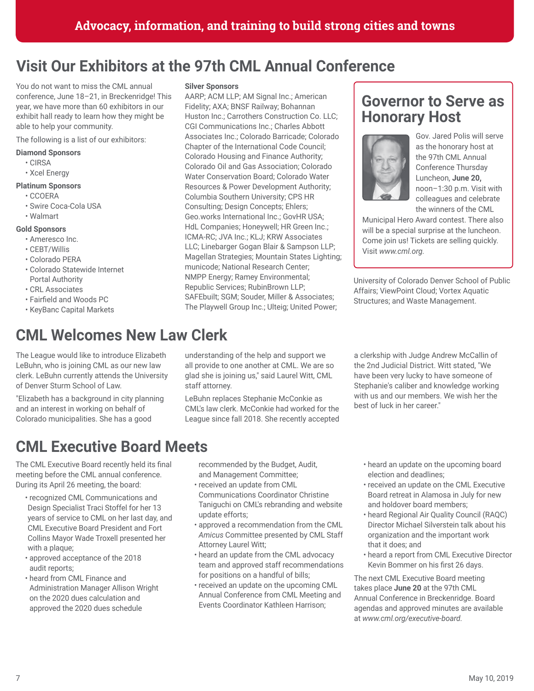# **Visit Our Exhibitors at the 97th CML Annual Conference**

You do not want to miss the CML annual conference, June 18–21, in Breckenridge! This year, we have more than 60 exhibitors in our exhibit hall ready to learn how they might be able to help your community.

The following is a list of our exhibitors:

#### **Diamond Sponsors**

- CIRSA
- Xcel Energy

#### **Platinum Sponsors**

- CCOERA
- Swire Coca-Cola USA
- Walmart

#### **Gold Sponsors**

- Ameresco Inc.
- CEBT/Willis
- Colorado PERA
- Colorado Statewide Internet Portal Authority
- CRL Associates
- Fairfield and Woods PC
- KeyBanc Capital Markets

## **CML Welcomes New Law Clerk**

The League would like to introduce Elizabeth LeBuhn, who is joining CML as our new law clerk. LeBuhn currently attends the University of Denver Sturm School of Law.

"Elizabeth has a background in city planning and an interest in working on behalf of Colorado municipalities. She has a good

## **CML Executive Board Meets**

The CML Executive Board recently held its final meeting before the CML annual conference. During its April 26 meeting, the board:

- recognized CML Communications and Design Specialist Traci Stoffel for her 13 years of service to CML on her last day, and CML Executive Board President and Fort Collins Mayor Wade Troxell presented her with a plaque;
- approved acceptance of the 2018 audit reports;
- heard from CML Finance and Administration Manager Allison Wright on the 2020 dues calculation and approved the 2020 dues schedule

#### **Silver Sponsors**

AARP; ACM LLP; AM Signal Inc.; American Fidelity; AXA; BNSF Railway; Bohannan Huston Inc.; Carrothers Construction Co. LLC; CGI Communications Inc.; Charles Abbott Associates Inc.; Colorado Barricade; Colorado Chapter of the International Code Council; Colorado Housing and Finance Authority; Colorado Oil and Gas Association; Colorado Water Conservation Board; Colorado Water Resources & Power Development Authority; Columbia Southern University; CPS HR Consulting; Design Concepts; Ehlers; Geo.works International Inc.; GovHR USA; HdL Companies; Honeywell; HR Green Inc.; ICMA-RC; JVA Inc.; KLJ; KRW Associates LLC; Linebarger Gogan Blair & Sampson LLP; Magellan Strategies; Mountain States Lighting; municode; National Research Center; NMPP Energy; Ramey Environmental; Republic Services; RubinBrown LLP; SAFEbuilt; SGM; Souder, Miller & Associates; The Playwell Group Inc.; Ulteig; United Power;

## **Governor to Serve as Honorary Host**



Gov. Jared Polis will serve as the honorary host at the 97th CML Annual Conference Thursday Luncheon, **June 20,**  noon–1:30 p.m. Visit with colleagues and celebrate the winners of the CML

Municipal Hero Award contest. There also will be a special surprise at the luncheon. Come join us! Tickets are selling quickly. Visit *www.cml.org.*

University of Colorado Denver School of Public Affairs; ViewPoint Cloud; Vortex Aquatic Structures; and Waste Management.

understanding of the help and support we all provide to one another at CML. We are so glad she is joining us," said Laurel Witt, CML staff attorney.

LeBuhn replaces Stephanie McConkie as CML's law clerk. McConkie had worked for the League since fall 2018. She recently accepted a clerkship with Judge Andrew McCallin of the 2nd Judicial District. Witt stated, "We have been very lucky to have someone of Stephanie's caliber and knowledge working with us and our members. We wish her the best of luck in her career."

recommended by the Budget, Audit, and Management Committee;

- received an update from CML Communications Coordinator Christine
- Taniguchi on CML's rebranding and website update efforts; • approved a recommendation from the CML
- *Amicus* Committee presented by CML Staff Attorney Laurel Witt;
- heard an update from the CML advocacy team and approved staff recommendations for positions on a handful of bills;
- received an update on the upcoming CML Annual Conference from CML Meeting and Events Coordinator Kathleen Harrison;
- heard an update on the upcoming board election and deadlines;
- received an update on the CML Executive Board retreat in Alamosa in July for new and holdover board members;
- heard Regional Air Quality Council (RAQC) Director Michael Silverstein talk about his organization and the important work that it does; and
- heard a report from CML Executive Director Kevin Bommer on his first 26 days.

The next CML Executive Board meeting takes place **June 20** at the 97th CML Annual Conference in Breckenridge. Board agendas and approved minutes are available at *www.cml.org/executive-board.*